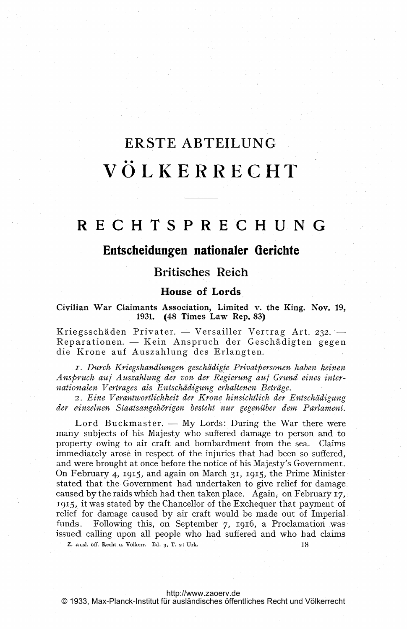# ERSTE ABTEILUNG VÖLKERRECHT

# R E C H T <sup>S</sup> P R E C H U N G

# Entscheidungen nationaler Gerichte

# Britisches Reich

### House of Lords

Civilian War Claimants Association, Limited v. the King. Nov. 19, 1931. (48 Times Law Rep. 83)

Kriegsschäden Privater. - Versailler Vertrag Art. 232. -Reparationen. - Kein Anspruch der Geschädigten gegen die Krone auf Auszahlung des Erlangten.

x. Durch Kriegshandlungen geschädigte Privatpersonen haben keinen Anspruch auf Auszahlung der von der Regierung auf Grund eines internationalen Vertrages als Entschädigung erhaltenen Beträge.

2. Eine Verantwortlichkeit der Krone hinsichtlich der Entschädigung der einzelnen Staatsangehörigen besteht nur gegenüber dem Parlament.

Lord Buckmaster. — My Lords: During the War there were many subjects of his Majesty who suffered damage to person and to property owing to air craft and bombardment from the sea. Claims immediately arose in respect of the injuries that had been so suffered, and were brought at once before the notice of his Majesty's Government. On February 4, 1915, and again on March 31, 1915, the Prime Minister stated that the Government had undertaken to give relief for damage, caused by the raids which had then taken place. Again, on February 17, 1915, it was stated by the Chancellor of the Exchequer that payment of relief for damage caused by air craft would be made out of Imperial funds. Following this, on September 7, 1916, a Proclamation was issued calling upon all people who had suffered and who had claims Z. ausl. 6ff. Recht u. V61kerr. Bd. 3, T. 2: Urk. 18

<http://www.zaoerv.de>

© 1933, Max-Planck-Institut für ausländisches öffentliches Recht und Völkerrecht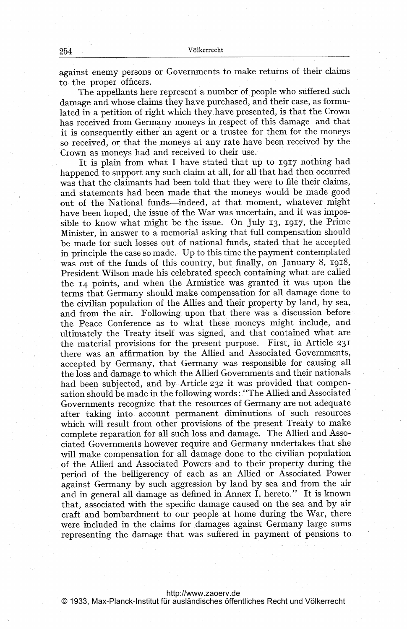against enemy persons or Governments to make returns of their claims to the proper officers.

The appellants here represent <sup>a</sup> number of people who suffered such damage and whose claims they have purchased, and their case, as formulated in a petition of right which they, have presented, is that the Crown has received from Germany moneys in respect of this damage and that it is consequently either an agent or a trustee for them for the moneys so received, or that the moneys at any rate have been received by the Crown as moneys had and received to their use.

It is plain from what <sup>I</sup> have stated that up to <sup>1917</sup> nothing had happened to support any such claim at all, for all that had then occurred was that the claimants had been told that they were to file their claims, and statements had been made that the moneys would be made good out of the National funds-indeed, at that moment, whatever might have been hoped, the issue of the War was uncertain, and it was impossible to know what might be the issue. On July 13, 1917, the Prime Minister, in answer to a memorial asking that full compensation should be made for such.losses out of national funds, stated that he accepted in principle the case so made. Up to this time the payment contemplated was out of the funds of this country, but finally, on January 8, 1918, President Wilson made his celebrated speech containing what are called the <sup>14</sup> points, and when the Armistice was granted it was upon the terms that Germany should make compensation for all damage done to the civilian population of the Allies and their property by land, by sea, and from the air. Following upon that there was a discussion before the Peace Conference as to what these moneys might include, and ultimately the Treaty itself was signed, and that contained what are the material provisions for the present purpose. First, in Article  $23I$ there was an affirmation by the Allied and Associated Governments, accepted by Germany, that Germany was responsible for causing all the loss and damage to which the Allied Governments and their nationals had been subjected, and by Article 232 it was provided that compensation should be made in the following words: "The Allied and Associated Governments recognize that the resources of Germany are not adequate after taking into account permanent diminutions of such resources which will result from other provisions of the present Treaty to make complete reparation for all such loss and damage. The Allied and Associated Governments however require and Germany undertakes that she will make compensation for all damage done to the civilian population of the Allied and Associated Powers and to their property during the period of the belligerency of each as an Allied or Associated Power against Germany by such aggression by land by sea and from the air and in general all damage as defined in Annex I. hereto." It is known that, associated with the specific damage caused on the sea and by air craft and bombardment to our people at home during the War, there were included in the claims for damages against Germany large sums representing the damage that was suffered in payment of pensions to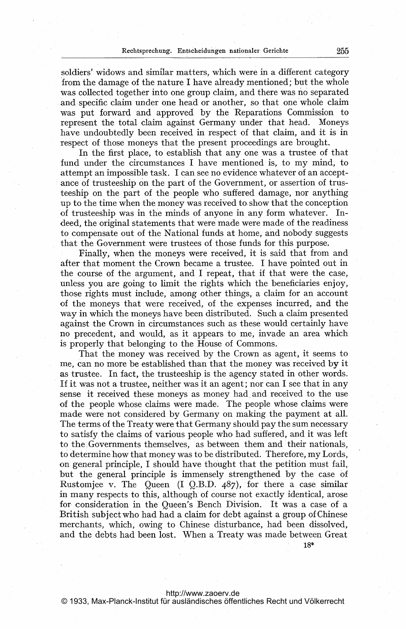soldiers' widows and similar matters, which were in a different category from the damage of the nature <sup>I</sup> have already mentioned; but the whole was collected together into one group claim, and there was no separated and specific claim under one head or another, so that one whole claim was put forward and approved by the Reparations Commission to represent the total claim against Germany under that head. Moneys have undoubtedly been received in respect of that claim, and it is in respect of those moneys that the present proceedings are brought.

In the first place, to establish that any one was a trustee of that fund under the circumstances <sup>I</sup> have mentioned is, to my mind, to attempt an impossible task. <sup>I</sup> can see no evidence whatever of an acceptance of trusteeship on the part of the Government, or assertion of trusteeship on the part of the people who suffered damage, nor anything up to the time when the money was received to. show that the conception of trusteeship was in the minds of anyone in any form whatever. Indeed, the original statements that were made were made of the readiness to compensate out of the National funds at home, and nobody suggests that the Government were trustees of those funds for this purpose.

Finally, when the moneys were received, it is said that from and after that moment the Crown became a trustee. <sup>I</sup> have pointed out in the course of the argument, and <sup>I</sup> repeat, that if that were the case, unless you are going to limit the rights which the beneficiaries enjoy, those rights must include, among other things, <sup>a</sup> claim for an account of the moneys that were received, of the expenses incurred, and the way in which the moneys have been distributed. Such <sup>a</sup> claim presented against the Crown in circumstances such as these would certainly have no precedent, and would, as it appears to me, invade an area which is properly that belonging to the House of Commons.

That the money was received by the Crown as agent, it seems to me, can no more be established than that the money was received by it as trustee. In fact, the trusteeship is the agency stated in other words. If it was not a trustee, neither was it an agent; nor can <sup>I</sup> see that in any sense it received these moneys as money had. and received to the use of the people whose claims were made. The people whose claims were made were not considered by Germany on making the payment at all. The terms of the Treaty were that Germany should pay the sum necessary to satisfy the claims of various people who had suffered, and it was left to the.Governments themselves, as between them and their nationals, to determine how that money was to be distributed. Therefore, my Lords, on general principle, <sup>I</sup> should have thought that the petition must fail, but the general principle is immensely strengthened by the case of Rustomjee v. The Queen  $(I \ Q.B.D. 487)$ , for there a case similar in many respects to this, although of course not exactly identical, arose for consideration in the Queen's Bench Division. It was a case of a British subject who had had a claim for debt against a group of Chinese merchants, which, owing to Chinese disturbance, had been dissolved, and the debts had been lost. When <sup>a</sup> Treaty was made between Great

18\*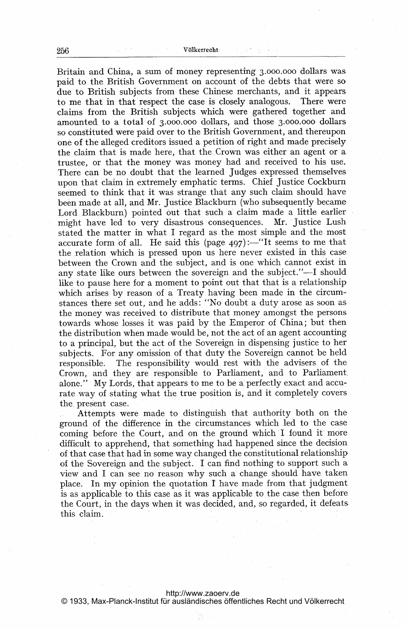#### 256 V61kerrecht

Britain and China, a sum of'money representing 3.ooo.ooo dollars was paid to the British Government on account of the debts that were so due to British subjects from these Chinese merchants, and it appears to me that in that respect the case is closely analogous. There were claims from the British subjects which were gathered together and amounted to a total Of 3.ooo.ooo dollars, and those 3.ooo.ooo dollars so constituted Were paid over to the British Government, and thereupon one of the alleged creditors issued a petition of right and made precisely the claim that is made here, that the. Crown was either an agent or a trustee, or that the money was money had and received to his use. There can be no doubt that the learned judges expressed themselves upon that claim in extremely emphatic terms. Chief justice Cockburn seemed to think that it was strange that any such claim should have been made at all, and Mr. justice Blackburn (who subsequently became Lord Blackburn) pointed out that such a' claim made <sup>a</sup> little earlier might have led to very disastrous consequences. Mr. 'Justice Lush stated the matter in what <sup>I</sup> regard as the most simple and the most accurate form of all. He said this (page  $497$ ):-"It seems to me that the relation which is pressed upon us here never existed in this case between the Crown and the subject, and is one which cannot exist in, any state like ours between the sovereign and the subject."-I should like to pause here for <sup>a</sup> moment to point out that that is <sup>a</sup> relationship which arises by reason of a Treaty having been made in the circumstances there set out, and he adds: "No doubt a duty arose as soon as the money was received, to distribute that money amongst the persons towards whose losses it was paid by the Emperor of China; but then the distribution when made would be, not the act of an agent accounting to a principal, but the act of the Sovereign in dispensing justice to her subjects. For any omission of that duty the Sovereign cannot be held responsible. The responsibility would rest with the advisers of the Crown, and they are responsible to, Parliament, and to Parliament alone." My Lords, that appears to me to be a perfectly exact and accurate way of stating what the true position is, and it completely covers the, present case.

Attempts were made to distinguish that authority both on the ground of the difference in the circumstances which led to the case coming before the Court, and on the ground which'I found it more difficult to apprehend, that something had happened since the decision of that case that had in some, way changed the constitutional relationship of the Sovereign and the subject. <sup>I</sup> can find nothing to support such a view and <sup>I</sup> can see no reason why such <sup>a</sup> change should have taken place, In my opinion the quotation <sup>I</sup> have made from that judgment is as applicable to this case as it was applicable to the case then before the Court, in the days when it was decided, and, so regarded, it defeats this claim.